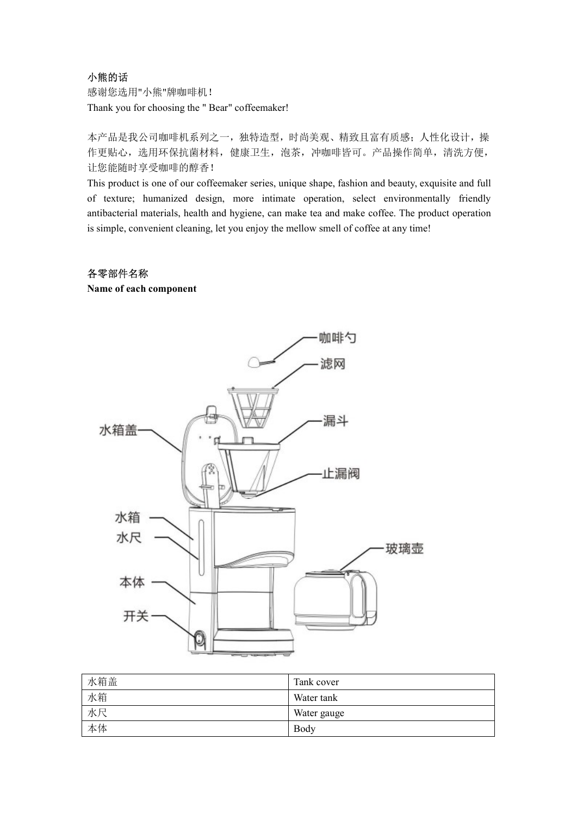### 小熊的话

感谢您选用"小熊"牌咖啡机!

**小熊的话**<br>感谢您选用"小熊"牌咖啡机 !<br>Thank you for choosing the " Bear" coffeemaker!<br>本产品是我公司咖啡机系列之一,独特造型,时尚美观、精致且富有质感; 人性化设计,操<br>作更贴心,选用环保抗菌材料,健康卫生,泡茶,冲咖啡皆可。产品操作简单,清洗方便,<br>让您能随时享受咖啡的醇香 ! 本产品是我公司咖啡机系列之一,独特造型,时尚美观、精致且富有质感;人性化设计,操 作更贴心,选用环保抗菌材料,健康卫生,泡茶,冲咖啡皆可。产品操作简单,清洗方便, 让您能随时享受咖啡的醇香!

小熊的话<br>感谢您选用"小熊"牌咖啡机!<br>Thank you for choosing the " Bear" coffeemaker!<br><br>本产品是我公司咖啡机系列之一,独特造型,时尚美观、精致且富有质感,人性化设计,操<br>让您能随时享受咖啡的酵香!<br><br>il:您能随时享受咖啡的酵香!<br>This product is one of our coffeemaker series, unique shape, fashion and beauty **小熊的话**<br>感谢您选用"小熊"牌咖啡机!<br>Thank you for choosing the " Bear" coffeemaker!<br>本产品是我公司咖啡机系列之一,独特造型,时尚美观、精致且富有质感,人性化设计,操<br>化影能随时享受咖啡机解有料,健康卫生,泡茶,冲咖啡皆可。产品操作简单,清洗方便,<br>Li您能随时享受咖啡的解香!<br>This product is one of our coffeemaker series, unique 小熊的话<br>感谢您选用"小熊"牌咖啡机:<br>Thank you for choosing the "Bear" coffeemaker!<br>本产品是我公司咖啡机系列之一,独特造型,时尚美观、精致且富有质感,人性化设计,操<br>作更贴心,选用环保抗菌材料,健康卫生,泡茶,冲咖啡皆可。产品操作简单,清洗方便,<br>t-您能随时享受咖啡的酵香!<br>of textre; humanized design, more intimate operation, se 小熊的话<br>感谢您选用"小熊"牌咖啡机!<br>Thank you for choosing the " Bear" coffeemaker!<br>本产品是我公司咖啡机系列之一, 独特造型, 时尚美观、精致且富有质感, 人性化设计, 操<br>作更贴心, 选用环保抗菌材料, 健康卫生, 泡茶, 沖咖啡皆可。产品操作简单, 清洗方便,<br>让您能随时享受咖啡的酵香!<br>Inis product is one of our coffeemaker series, 小熊的话<br>感谢您选用"小熊"牌咖啡机!<br>不可品是我公司咖啡机系列之一,独特造型,时尚美观、精致且富有质感;人性化设;<br>作更贴心,选用环保抗菌材料, 健康卫生, 泡茶, 冲咖啡皆可。产品操作简单, 清洗<br>II:您能隨时享受咖啡的客香!<br>This product is one of our coffeemaker series, unique shape, fashion and beauty, exquisite a<br>of texture

## 各零部件名称



| 水箱盖 | Tank cover  |
|-----|-------------|
| 水箱  | Water tank  |
| 水尺  | Water gauge |
| 本体  | Body        |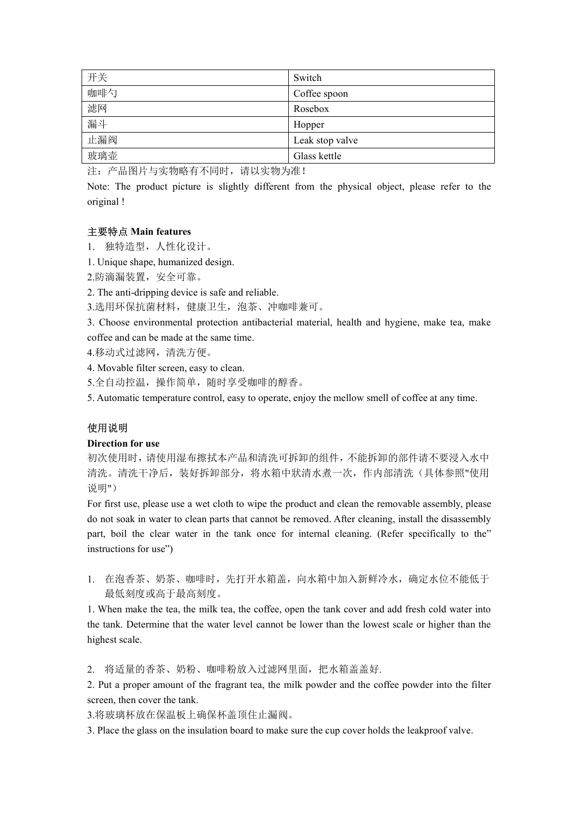| 开关                                                                               | Switch                                                                                           |
|----------------------------------------------------------------------------------|--------------------------------------------------------------------------------------------------|
| 咖啡勺                                                                              | Coffee spoon                                                                                     |
| 滤网                                                                               | Rosebox                                                                                          |
| 漏斗                                                                               | Hopper                                                                                           |
| 止漏阀                                                                              | Leak stop valve                                                                                  |
| 玻璃壶                                                                              | Glass kettle                                                                                     |
| 注: 产品图片与实物略有不同时, 请以实物为准!                                                         |                                                                                                  |
|                                                                                  | Note: The product picture is slightly different from the physical object, please refer to the    |
| original !                                                                       |                                                                                                  |
|                                                                                  |                                                                                                  |
| 主要特点 Main features                                                               |                                                                                                  |
| 1. 独特造型, 人性化设计。                                                                  |                                                                                                  |
| 1. Unique shape, humanized design.                                               |                                                                                                  |
| 2.防滴漏装置, 安全可靠。                                                                   |                                                                                                  |
| 2. The anti-dripping device is safe and reliable.<br>3.选用环保抗菌材料, 健康卫生, 泡茶、冲咖啡兼可。 |                                                                                                  |
|                                                                                  | 3. Choose environmental protection antibacterial material, health and hygiene, make tea, make    |
| coffee and can be made at the same time.                                         |                                                                                                  |
| 4.移动式过滤网,清洗方便。                                                                   |                                                                                                  |
| 4. Movable filter screen, easy to clean.                                         |                                                                                                  |
| 5.全自动控温, 操作简单, 随时享受咖啡的醇香。                                                        |                                                                                                  |
|                                                                                  | 5. Automatic temperature control, easy to operate, enjoy the mellow smell of coffee at any time. |
|                                                                                  |                                                                                                  |
|                                                                                  |                                                                                                  |

 $\frac{1}{2}$ <br>  $\frac{1}{2}$ <br>  $\frac{1}{2}$ <br>  $\frac{1}{2}$   $\frac{1}{2}$   $\frac{1}{2}$   $\frac{1}{2}$   $\frac{1}{2}$   $\frac{1}{2}$   $\frac{1}{2}$   $\frac{1}{2}$   $\frac{1}{2}$   $\frac{1}{2}$   $\frac{1}{2}$   $\frac{1}{2}$   $\frac{1}{2}$   $\frac{1}{2}$   $\frac{1}{2}$   $\frac{1}{2}$   $\frac{1}{2}$   $\frac{1}{2}$   $\frac{1}{$ 

- 1. 独特造型,人性化设计。
- 
- 2.防滴漏装置,安全可靠。
- 

# 使用说明

original !<br><br>1. 独特造型,人性化设计。<br>1. Unique shape, humanized design.<br>2.防滴漏装置,安全可靠。<br>2. The anti-dripping device is safe and reliable.<br>2. The anti-dripping device is safe and reliable.<br>2. Theore wire womental protection antibacte 初次使用时,请使用湿布擦拭本产品和清洗可拆卸的组件,不能拆卸的部件请不要浸入水中 清洗。清洗干净后,装好拆卸部分,将水箱中狀清水煮一次,作内部清洗(具体参照"使用 说明")

1. Unique shape, humanized design.<br>
2.5) 滴漏装置,安全可靠、<br>
3.海间-dripping device is safe and reliable.<br>
3.选用环保机前材料,健康卫生,泡茶、沖咖啡兼可。<br>
3. Choose environmental protection antibacterial material, health and hygiene, make tea, make<br>
3. 2.防滴漏装置,安全可塞。<br>
2. The suit-dripping device is sufe and reliable.<br>
3. 生成中医疗时的 defined parts that cannot parts that cannot internal, health and hygiene, make tea, make<br>
3. Choose environmental protection antibacterial mate 2. The anti-dripping device is safe and reliable.<br>
3. 造用坏保抗菌材料, 健康 F生, 泡茶、沖咖啡兼可。<br>
3. Choose environmental pretection antibacterial material, health and hygiene, make tea, make<br>
coffce and can be made at the same time.<br>
4. 3.选用环保抗菌材料, 健康卫生, 泡茶、沖咖啡兼可。<br>
3. Choose environmental protection antibacterial material, health and hygiene, make tea,<br>
coffee and can be made at the same time.<br>
4. Afoxable filter screen, casy to clean.<br>
5. 41 afox and t 4. Movable filter sereen, easy to elean.<br>
5.全自动控温,操作简单、随时享受咖啡的醇香。<br>
5. Automatic temperature control, easy to operate, enjoy the mellow smell of coffee at any time.<br> **使用说明**<br> **使用说明**<br>
1. Notic time the milk tea, the milk te 5.全自动控温,操作简单,随时享受咖啡的酵香。<br>S. Automatic temperature control, easy to operate, enjoy the mellow smell of coffee at any time.<br>**使用说明**<br>Direction for use<br>初次使用时,请使用程布擦拭本产品和清洗可拆卸的组件,不能拆卸的部件请不要浸入水中<br>清洗、清洗干净后、装好拆卸部分,将水箱中狀清水煮一次,作内部清洗(具 5. Automatic temperature control, easy to operate, enjoy the mellow smell of coffee at<br>
<br>
使用说明<br>
Direction for use<br>
初次使用时,请使用湿布擦拭本产品和消洗可拆卸的组件,不能拆卸的部件请不<br>
清洗。清洗干净后,装好拆卸部分,将水箱中狀清水煮一次,作内部清洗(具<br>
清洗。清洗干净后,装好拆卸部分,将水箱中狀清水煮一次,作内部清洗( Direction for use<br>
20. 次使用場布接技本产品和清洗可拆卸的组件, 不能拆卸的部件请不要浸入水中<br>
清洗:清洗干净后, 装好拆卸部分, 将水箱中狀清水煮一次, 作内部清洗(具体参照"使用<br>
说明")<br>
For first use, please use a wet cloth to wipe the product and clean the removable assembly, please<br>
odo to so 初次使用时,请使用湿布擦拭本产品和清洗可拆卸的组件,不能拆卸的部件请不要浸入水中清洗。清洗干净后,装好拆卸部分,将水箱中狀清水煮一次,作内部清洗(具体参照"使用说明")<br>※、清洗干净后,装好拆卸部分,将水箱中狀清水煮一次,作内部清洗(具体参照"使用<br>※明")<br>※ 引")<br>※ 可 frist use, please use a wet cloth to wipe the product and clean the removable as iggij<sup>r</sup>)<br>Tor first use, please use a wet cloth to wipe the product and clean the removable assembly, please<br>on to soak in water to clean parts that cannot be removed. After cleaning, install the disassembly<br>part, boii t

1. 在泡香茶、奶茶、咖啡时,先打开水箱盖,向水箱中加入新鲜冷水,确定水位不能低于 最低刻度或高于最高刻度。

3.将玻璃杯放在保温板上确保杯盖顶住止漏阀。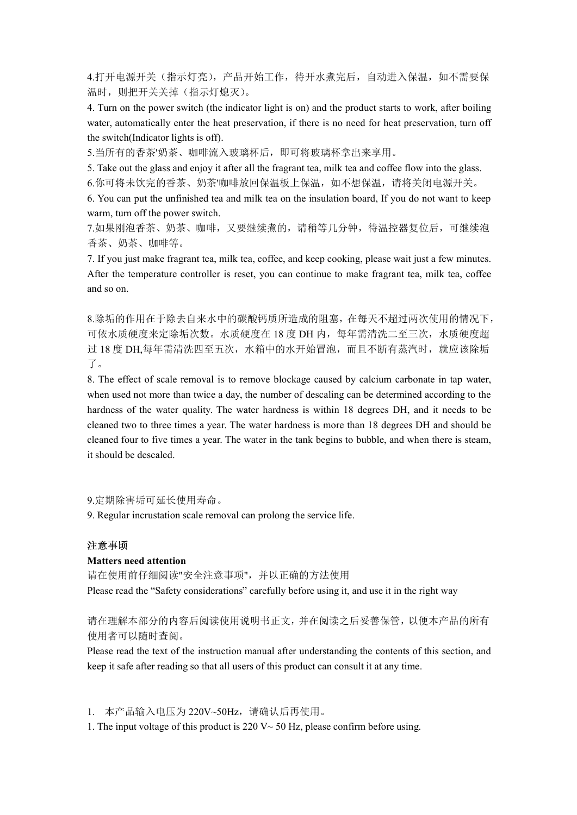4.打开电源开关(指示灯亮),产品开始工作,待开水煮完后,自动进入保温,如不需要保 温时,则把开关关掉(指示灯熄灭)。

4.打开电源开关(指示灯亮),产品开始工作,待开水煮完后,自动进入保温,如不需要保<br>温时,则把开关关掉(指示灯熄灭)。<br>4. Turn on the power switch (the indicator light is on) and the product starts to work, after boiling<br>water, automatically enter the heat preservation, if there 4.打开电源开关(指示灯亮),产品开始工作,待开水煮完后,自动进入保温,如不需要保<br>温时,则把开关关掉(指示灯熄灭)。<br>4. Turn on the power switch (the indicator light is on) and the product starts to work, after boiling<br>water, automatically enter the heat preservation, if there 4.打开电源开关(指示灯亮),产品开始工作,待开水煮完后,自动进入保温,如不需要保温时,则把开关关掉(指示灯熄灭)。<br>4. Turn on the power switch (the indicator light is on) and the product starts to work, after boiling<br>water, automatically enter the heat preservation, if there i 4.打开电源开关(指示灯亮),产品开始工作,待开水煮完后,自动进入保温,如不需要保<br>温时,则把开关关押(指示灯熄灭)。<br>4. Turn on the power switch (the indicator light is on) and the product starts to work, after boiling<br>the strate, automatically enter the heat preservation, if t 4.打开电源开关(指示灯亮),产品开始工作,特开水煮完后,自动进入保温,如不需要保<br>温时,则把开关关掉(指示灯熄灭)。<br>4. Turn on the power switch (the indicator light is on) and the product starts to work, after boiling<br>water, automatically enter the heat preservation, if there 4.打开电源开关(指示灯亮),产品开始工作,待开水煮完后,自动进入保温,如不需要保<br>温时,则把开关关掉(指示灯亮),产品开始工作,待开水煮完后,自动进入保温,如不需要保<br>#1. will mp 进行关关掉(指示灯熄灭)。<br>4. Turn on the power switch (the indicator light is on) and the product starts to work, after boiling<br>water, a 4.打开电源开关(指示灯亮),产品开始工作,特开水煮完后,自动进入保温,如不需要保湿时,则把开关关掉(指示灯熄又)。(<br>1. If you just make fragrant team that the minutes of the preservation, there is no need for heat preservation, turn off<br>the witch(Indicator lights is off),<br>and 4.打开电源开关(指示灯亮)、产品开始工作, 待开水煮完后,自动进入保温,如不需要保温时,则把开关关掉(指示灯熄火)。<br><br>#1. mm on the power switch (the indicator hight is on) and the product starts to work, after boiling<br>\* rum on the power switch (the indicator hight is on) and 4.打开电源开关 (指示灯亮), 产品开始工作, 待开水煮完后, 自动进入保温,<br>温时, 则把开关关掉 (指示灯熄灭)。<br><br>4. Turn on the power switch (the indicator light is on) and the product starts to work<br>at. Turn on the power switch (the indicator light is on) and the produc

5.当所有的香茶'奶茶、咖啡流入玻璃杯后,即可将玻璃杯拿出来享用。

6.你可将未饮完的香茶、奶茶'咖啡放回保温板上保温, 如不想保温, 请将关闭电源开关。

7.如果刚泡香茶、奶茶、咖啡,又要继续煮的,请稍等几分钟,待温控器复位后,可继续泡 香茶、奶茶、咖啡等。

8.除垢的作用在于除去自来水中的碳酸钙质所造成的阻塞,在每天不超过两次使用的情况下, 可依水质硬度来定除垢次数。水质硬度在 18 度 DH 内, 每年需清洗二至三次, 水质硬度超 过 18 度 DH,每年需清洗四至五次,水箱中的水开始冒泡,而且不断有蒸汽时,就应该除垢 了。

the switch(Indicator lights is off).<br>
8.当所有的香家奶茶、咖啡流入妖鸡杯后,即可将玻璃杯拿出来享用。<br>
5. Take out the glass and enjoy it after all the fragrant tea, milk tea and coffee flow into the glass.<br>
5. Take out the glass and enjoy it after al 5.当所有的香茶奶茶、咖啡流入玻璃杯后,即可将玻璃杯拿出来享用。<br>
5. Take out the glass and enjoy it alter all the fragmat ten, milit tea and coffice flow into the glass.<br>
6. Kore of the fix Script of 春天,奶茶咖啡放回保温板上保温,如不想保温,请将关闭电源开关。<br>
6. You can put the 5. Take out the glass and enjoy it after all the fragrant tea, milk tea and coffee flow into the glass.<br>6.你可将未饮完的香茶、奶茶咖啡放回保温板上保温,如不想保温,请将关闭电脑开关。<br>warm, turn off the punisment deta and milk tea on the insulation board, If 6.你可将未饮完的香茶、奶茶咖啡放回保温板上保温,如不想保温,请将关闭电源开关。<br>6. You can put the unfinished tea and milk tea on the insulation board, If you do not want to keep<br>warm, turn of the power switch.<br>7.如果削密茶、奶茶、咖啡,又要继续煮的,请稍等几分钟,特温控器复位后,可继续泡<br>季茶、奶茶、咖啡 6. You can put the unfinished tea and milk tea on the insulation board, If you do not want to keep<br>
varm, tum off the power switch.<br>
7. <sup>7</sup> 20 7. <sup>20</sup> 7. <sup>20</sup> 7. <sup>20</sup> 7. <sup>20</sup> 7. <sup>20</sup> 7. <sup>20</sup> 7. <sup>20</sup> 7. <sup>20</sup> 7. <sup>20</sup> 7. <sup>2</sup> warm, turn off the power switch.<br>
7.如果刚泡香茶、奶茶、咖啡,又要继续煮的,请稍等几分钟,待温控器复位后,可<br>
<br>
1.在以前的名称、奶茶、咖啡等。<br>
1. If you just nake fragrant tea, milk tea, coffee, and keep cooking, please wait just a few<br>
1. If you just nake fragrant tea, After the temperature controller is reset, you can continue to make fragrant tea, milk tea, coffce<br>and so on.<br>
8. 除垢的作用在于除去自来水中的碳酸钙质所造成的阻塞。在每天不超过两次使用的情况下,<br>
可依水质硬度来定除垢次数。水质硬度在 18 度 DH 内,每年需清洗二至三次,水质硬度超<br>
15 息 DH,每年需清洗四至五次, 8.除垢的作用在于除去自米水中的碳酸钙质所造成的阻塞, 在每天不超过两次使用的<br>可依水质硬度米定除垢次数。水质硬度在18度DH 内, 每年需清洗二至三次, 水质更<br>18度DH,每年需清洗四至五次, 水箱中的水开始冒泡, 而且不断有蒸汽时, 就应过<br>18度DH,每年需清洗四至五次, 水箱中的水开始冒泡, 而且不断有蒸汽时, 就应过<br>7。<br>5. The effect of scale removal is to remove blockag 过 18 度 DH,每年需清洗四至五次,水箱中的水开始冒泡,而且不断有蒸汽时,就应该除垢了。<br>
T<br>
T<br>
T<br>
N. The effect of scale removal is to remove blockage caused by calcium carbonate in tap water,<br>
s. The cffect of scale removal is to remove blockage caused by cal hardness of the water quality. The water hardness is within 18 degrees DH, and it needs to be cleaned two to three times a year. The water hardness is more than 18 degrees DH and should be cleaned four to five times a yea cleaned two to three times a year. The water hardness is more than 18 degrees DH and should be<br>cleaned four to five times a year. The water in the tank begins to bubble, and when there is steam,<br>it should be descaled.<br>9.

9.定期除害垢可延长使用寿命。

### 注意事顷

请在使用前仔细阅读"安全注意事项",并以正确的方法使用 9.定期除害新可延长使用寿命。<br>2. Regular incrustation scale removal can prolong the service life.<br><br>注意事項<br>精在rs weed attention<br><br>清心使用 infustry considerations" carefully before using it, and use it in the right way<br><br>Flease read the "Safety

## 请在理解本部分的内容后阅读使用说明书正文,并在阅读之后妥善保管,以便本产品的所有 使用者可以随时查阅。

1. 本产品输入电压为 220V~50Hz,请确认后再使用。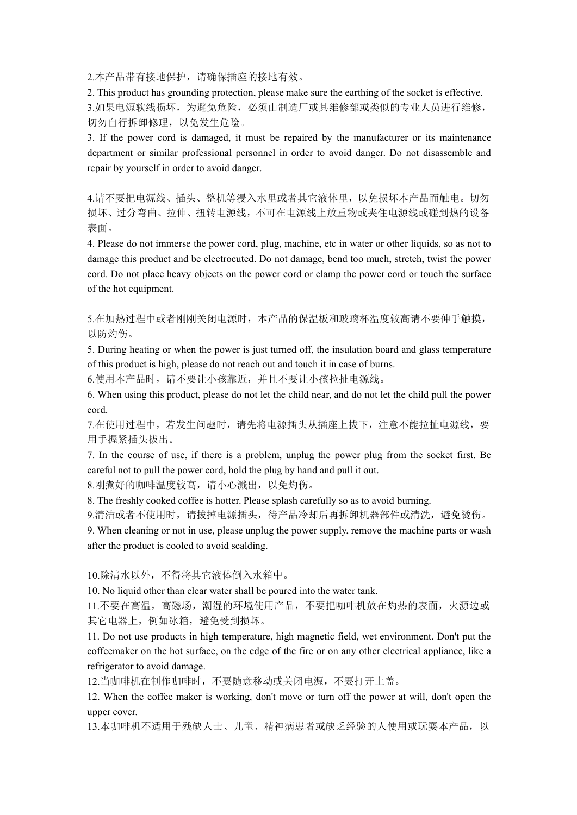2.本产品带有接地保护,请确保插座的接地有效。

2.本产品带有接地保护,请确保插座的接地有效。<br>2. This product has grounding protection, please make sure the earthing of the socket is effective.<br>3.如果电源软线损坏,为避免危险,必须由制造厂或其维修部或类似的专业人员进行维修,<br>切勿自行拆卸修理,以免发生危险。<br>3. If the power cord is damaged, it mu 3.如果电源软线损坏,为避免危险,必须由制造厂或其维修部或类似的专业人员进行维修, 切勿自行拆卸修理,以免发生危险。 2.本产品带有接地保护,请确保插座的接地有效。<br>2. This product has grounding protection, please make sure the earthing of the socket is effective.<br>3.如果电源软线损坏,为避免危险,必须由制造厂或其维修部或类似的专业人员进行维修,<br>切勿自行拆卸修理,以免发生危险。<br>3. If the power cord is damaged, it mu 2.本产品带有接地保护,请确保插座的接地有效。<br>2. This product has grounding protection, please make sure the earthing of the socket is effective.<br>3.如果电源软线损坏,为避免危险,必须由制造厂或其维修部或类似的专业人员进行维修,<br>切勿自行拆卸修理,以免发生危险。<br>department or similar professional per

2.本产品带有接地保护,请确保插座的接地有效。<br>2. This product has grounding protection, please make sure the earthing of the socket is effective.<br>5. 如果电源软线损坏,为避免危险。必须由制造厂或其维修部或类似的专业人员进行维修,<br>切勿自行拆卸修理,以免发生危险。<br>3. If the power cord is damaged, it m 4.请不要把电源线、插头、整机等浸入水里或者其它液体里,以免损坏本产品而触电。切勿 损坏、过分弯曲、拉伸、扭转电源线,不可在电源线上放重物或夹住电源线或碰到热的设备 表面。

2. 本产品带有接地保护,请确保插座的接地有效。<br>2. This product has grounding protection, please make sure the carthing of the socket is effective.<br>5.加果电源软线损坏,为避免危险,必须由制造厂或其维修部或类似的专业人员进行维修,<br>5. If the power cord is damaged, it must be repaired 2.本产品带有接地保护,讲确保插座的接地有效。<br>2. This product has grounding protection, please make sure the carthing of the socket is effective.<br>3.如果是 this product has grounding procedion, please make sure the carthing of the socket is effec 2.本产品带有接地保护,请确保插座的接地有效。<br>2. This product has grounding protection, please make sure the earthing of the soeket is effective.<br>5. 加架生器数经机构,为避免危险,必须由制造厂或其维修部或类似的专业人员进行推修,<br>切勿自行拆卸修算,以免发生危险。<br>3. If the power cord is damaged, it 2.本产品带有接地保护,请确保插座的接地有效。<br>2. This product has grounding protection, please make sure the earthing of the socket is<br>3. This product has grounding protection, please make sure the earthing of the socket is<br>5. Di 果 bi 源 数 数 机 3.如果电源软线板环,为避免危险,必须由制造厂或其维修部或类似的专业人员进行维修,<br>切勿自行拆卸修建,以免发生危险。<br>3. If the power ord is damaged, it must be repaired by the manufacturer or its maintenance<br>department or similar professional personnel in order to avoid danger. 切勿自行拆卸修理,以免发生危险。<br>
3. If the power cord is damaged, it must be repaired by the manufacturer or its maintenance<br>
chepartment or sminitar professional personnel in order to avoid danger. Do not disassemble and<br>
chepartment o department or similar professional personnel in order to avoid danger. Do not disassemble and<br>repair by yourself in order to avoid danger.<br>4. 将不要把电源线、插头、整机等浸入水里或者其它液体里,以免损坏本产品而触电。切勿<br>振水、过分弯曲、拉伸、扭转电震线,不可在电震线上放重物或夹住电震线或碰到热的设 损坏、过分弯曲、拉伸、拥转电源线,不可在电源线上放重物或夹住电源线或碰到热的设备<br><br>表 IPses<br>dumage this product and be clectrocuted. Do not damage, bend too much, stretch, twist the power<br>dumage this product and be clectrocuted. Do not damage, bend too much, str 表面,<br>
<br>
#. Please do not immerse the power cord, plug, machine, etc in water or other liquids, so as not to<br>
damage this product and be electrocuted. Do not damage, bend too much, stretch, twist the power<br>
cord. Do not pla damage this product and be electrocuted. Do not damage, bend too much, stretch, twist the power<br>cord. Do not place heavy objects on the power cord or clamp the power cord or touch the surface<br>of the hot equipment.<br>S. <br>  $\$ 

5.在加热过程中或者刚刚关闭电源时,本产品的保温板和玻璃杯温度较高请不要伸手触摸, 以防灼伤。

6.使用本产品时,请不要让小孩靠近,并且不要让小孩拉扯电源线。

cord.

7.在使用过程中,若发生问题时,请先将电源插头从插座上拔下,注意不能拉扯电源线,要 用手握紧插头拔出。

5.在加热过程中或者刚刚关闭电源时,本产品的保温板和或麻杯温度较高请不要伸手触摸,<br>8. Diving heating or when the power is just turned off, the insulation board and glass temperature<br>5. Diving heating or when the power is just turned off, the insulation board and 5.在加热过程中或者刚刚关闭电源时,本产品的保温板和玻璃杯温度较高请不要伸手触摸、<br>以防灼伤。<br>5. During heating or when the power is just turned off, the insulation board and glass temperature<br>of this product is high, please do not reach out and touch it in case of b 5. During heating or when the power is just tumed off, the insulation board and glass temperature<br>of this product is high, please do not reach out and clouch it in case of burs.<br>6. 使用本产品时, 请不要让小孩靠近,并不要让小孩拉扯地紧线,这么说出来自我的问题

8.刚煮好的咖啡温度较高,请小心溅出,以免灼伤。

9.清洁或者不使用时,请拔掉电源插头,待产品冷却后再拆卸机器部件或清洗,避免烫伤。

10.除清水以外,不得将其它液体倒入水箱中。

11.不要在高温,高磁场,潮湿的环境使用产品,不要把咖啡机放在灼热的表面,火源边或 其它电器上,例如冰箱,避免受到损坏。

6. When using this product, please do not let the child near, and do not let the child pull the power<br>
cord.<br>
7. 在使用过程中,若发生问题时,请先将电源插头从插座上拔下,注意不能拉扯电源线,要<br>
用手据繁插头拔出:<br>
7. In the course of use, if there is a problem, unplug cord.<br>
7.在使用过程中,若发生问题时,请先将电源插头从插座上拔下,注意不能拉扯电源线,要<br><br>
用手握紧插头技出。<br>
7. In the course of use, if there is a problem, upplug the power plug from the socket first. Be<br>
careful not to pull the power cred, hold the plug by hand and 7.在使用过程中, 若发生问题时, 请先将电源循头从插座上拔下, 注意不能抗扯电源线, 要<br>用手握紧插头拔出。<br><br>用手握紧插头拔出。<br>2. In the course of use, if there is a problem, unplug the power plug from the socket first. Be<br>careful not to pull the power cord, hold the plug by hand 7. In the course of use, if there is a problem, umplug the power plug from the socket first. Be careful rot to pull the power redd, hold the plug by hand and pull it out.<br>
8. IN: first propertion of the power back of the careful not to pull the power cord, hold the plug by hand and pull it out.<br>8.刚煮好的咖啡温度较高,请小心溅出,以免灼伤。<br>8. The freshly cooked coffee is hotter. Please splash carefully so as to avoid burning<br>9.清洁或者不使用时,请拔掉电源插头,待产品冷却后再拆卸机器部件或清

12.当咖啡机在制作咖啡时,不要随意移动或关闭电源,不要打开上盖。

13.本咖啡机不适用于残缺人士、儿童、精神病患者或缺乏经验的人使用或玩耍本产品,以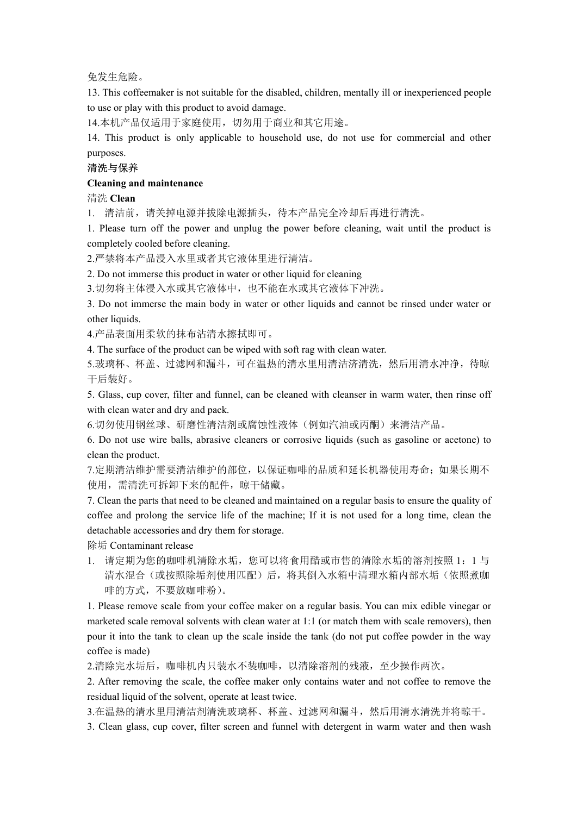### 免发生危险。

14.本机产品仅适用于家庭使用,切勿用于商业和其它用途。

兔发生危险。<br>13. This coffeemaker is not suitable for the disabled, children, mentally ill or inexperienced people<br>to use or play with this product to avoid damage.<br>14.本机产品仅适用于家庭使用,切勿用于商业和其它用途。<br>14. This product is only applicab 免发生危险。<br>13. This coffeemaker is not suitable for the disabled, children, mentally ill or inexperienced people<br>to use or play with this product to avoid damage.<br>14.本机产品仅适用于家庭使用,切勿用于商业和其它用途。<br>14. This product is only applicab 免发生危险。<br>13. This coffeemaker is not suitable for the disabled, children, mentally ill or inexperienced people<br>to use or play with this product to avoid damage.<br>14.本机产品仅适用于家庭使用,切勿用于商业和其它用途。<br>purposes.<br>希腊为导体系系<br>Cleaning and ma purposes. 免发生危险。<br>13. This coffeemaker is not suitable for the disabled, children, mentally ill or inexperienced<br>to use or play with this product to avoid damage.<br>14.本机产品仅适用于家庭使用,切勿用于商业和其它用途。<br>14. This product is only applicable to 免发生危险.<br>13. This coffeemaker is not suitable for the disabled, children, mentally ill or inexperienced people<br>to use or play with this product to avoid damage.<br>14.本札产品仅适用于家庭使用,切勿用于商业和其它用途。<br>purposes.<br>Please the power is on 免发生危险。<br>13. This coffeemaker is not suitable for the disabled, children, mentally ill or inexperienced people<br>to use or play with this product to avoid damage.<br>14.本机产品仅适用于家庭使用,切勿用于商业和共它用途。<br>14. This product is only applica 免发生危险。<br>
13. This coffeemaker is not suitable for the disabled, children, mentally ill or inexperienced people<br>
to use or play with this product is avoid damage.<br>
14. A#U<sup>,\*2</sup>出仅适用于家庭使用。 11列出于商业和其它用途。<br>
4. This product is o 免发生危险。<br>13. This coffeemaker is not suitable for the disabled, children, mentally ill or inexperienced people<br>to use or play with this product to avoid damage.<br>14.本机学品仅适用于家庭使用. 切勿用于商业和具定用途。<br>purposes.<br>purposes.<br>常法与保养<br>deta 免发生危险。<br>
13. This coffeemaker is not suitable for the disabled, children, mentally ill or inexp<br>
to use or play with this product to avoid damage.<br>
14.本札产品仅适用于家庭使用,切勿用于商业和其它用途。<br>
14. This product is only applicable to hous to use or play with this product to avoid damage.<br>14. 本机产品仅适用于家庭使用、切勿用于商业和其它用途。<br>4. This product is only applicable to household use, do not use for commercial and other<br>14. This product is only applicable to household use

## 清洗与保养

清洗 Clean

1. 清洁前,请关掉电源并拔除电源插头,待本产品完全冷却后再进行清洗。

purposes.<br> **(Fearing and maintenance**<br> **Cleaning and maintenance**<br> **Cleaning and maintenance**<br>
<br>
1. 清清前,请关掉电源并拔除电源捕头,特本产品完全冷却后再进行清洗。<br>
<br>
2. F<sup>o</sup> 精神的, 请关掉电源并拔除电源捕头, 特本产品完全冷却后再进行清洗<br>
<br>
2. Co not immerse this product in water 清洗与保养<br>Icaning and maintenance<br>市法 Clean<br>1. 清洁前,请关掉电源并拔除电源插头,待本产品完全冷却后再进行清洗。<br>1. 脂沾前,请关掉电源并拔除电源插头,待本产品完全冷却后再进行清洗。<br>1. Please turn off the power and unplug the power before cleaning, wait until the product is<br>conpletely cooled

2.严禁将本产品浸入水里或者其它液体里进行清洁。

3.切勿将主体浸入水或其它液体中,也不能在水或其它液体下冲洗。

4.产品表面用柔软的抹布沾清水擦拭即可。

5.玻璃杯、杯盖、过滤网和漏斗,可在温热的清水里用清洁济清洗,然后用清水冲净,待晾 干后装好。

6.切勿使用钢丝球、研磨性清洁剂或腐蚀性液体(例如汽油或丙酮)来清洁产品。

清洗 **Clean**<br>1. 清清前,请关掉电源并拔除电源捕头,特本产品完全冷却后再进行清洗。<br>1. 滑清前,请人掉电器并定 many different addition of the power and unplug the power before cleaning, wait until the product is<br>completely cooled before cleaning.<br>2. P<sup>\*</sup>禁将本产品浸入水里或者其它液体 1. 清洁前, 请关掉电源并拔除电源插头, 待本产品完全冷却后再进行清洗。<br>1. Please turn off the power and unplug the power before cleaning, wait until the<br>completely cooled before cleaning.<br>2.严禁格本产品浸入水里或者其它液体里进行清洁。<br>2.10 not immerse this product in water or 7.定期清洁维护需要清洁维护的部位,以保证咖啡的品质和延长机器使用寿命;如果长期不 使用,需清洗可拆卸下来的配件,晾干储藏。

2.严禁料本产品浸入水里或者其它液体里进行清洁。<br>2. Do not immerse this product in water or other liquid for eleraning<br>3. Do not immerse this product in water or other liquid for eleraning<br>3. Do not immerse the particular basis to the fuquid fo 2. Do not immerse this product in water or other liquid for cleaning<br>
3.切勿将主修浸入水或其它液体中,也不能在水或其它液体下冲洗。<br>
3. Do not immerse the main body in water or other liquids and eannot be rinsed under water or<br>
other liquids.<br>
<br>
4.产品表 3.切勿将主体浸入水或其它液体中,也不能在水或其它液体下冲洗。<br>
3. Do not immerse the main body in water or other liquids and cannot be rinsed under water or<br>
acteriguids.<br>
4. The surface of the product can be wiped with soft rag with clean water.<br>
4. 3. Do not immerse the main body in water or other liquids and cannot be rinsed under water<br>other liquids.<br>4.产品表面用柔软的抹布沾清水擦拭即可。<br>4.The surface of the product can be wiped with soft rag with clean water.<br>5.玻璃杯、杯盖、过滤网和漏斗,可在温

1. 请定期为您的咖啡机清除水垢,您可以将食用醋或市售的清除水垢的溶剂按照 1: 1 与 清水混合(或按照除垢剂使用匹配)后,将其倒入水箱中清理水箱内部水垢(依照煮咖 啡的方式,不要放咖啡粉)。

5.玻璃杯、杯盖、过滤网和漏斗,可在温热的清水里用清洁济清洗,然后用清水冲净,特晾<br>干后装好。<br>不 is Class, cup eover, filter and funnel, can be cleaned with cleanser in warm water, then rinse off<br>s. Class, cup eover, filter and funnel, can be cleaned with cleanser in 下后装好。<br>
5. Glass, cup cover, filter and funnel, can be eleaned with cleanser in warm water, then rinse off<br>
with clean water and dry and pack.<br>
6. Do not use wire balls, abrasive cleaners or corrosive liquids (such as gas 5. Glass, cup cover, filter and funnel, can be eleaned with eleanser in warm water, then rinse off<br>with elean water and dry and pack.<br>6. 19 列 版開網整計, 研磨性清掃或廣蚀性液体 (例如汽油或丙酮) 来清洁产品.<br>6. Do not use wire balls, abrasive cleaner with clean water and dry and pack.<br>
6.切勿使用钢丝球、研磨性清洁剂或腐蚀性液体(例如汽油或内酮)来清洁产品<br>
6. Dの not use wire balls, abrasive cleaners or corrosive liquids (such as gasoline or<br>
clean the product.<br>
1. 完期清洁维护的部位, 以保证咖啡的品质和延长机器使用寿命,<br>
1. 定期清 6. Do not use wire balls, abrasive cleaners or corrosive liquids (such as gasoline or acetone) to<br>clean the product.<br>
<br>
2. 定期清洁推护的部位, 以保证咖啡的品质和延长机器使用寿命, 如果长期不<br>
<br>
在用、清洁处可拆卸下来的配件, 晾干储藏,<br>
<br>
7. Clean the parts that need to b clean the product.<br>
7.定期清洁推护的部位,以保证咖啡的品质和延长机器使用寿命,如果长期不使用,需消活推护的部位,<br>
晾用,需消化管理下来的配件,<br>
咳用,需消化可移能,<br>
7. Clean the parts that need to be cleaned and maintained on a regular basis to ensure the quality of<br>
coffee and prolong th 使用,需清洗可拆卸下来的配件,晾干轱辘.<br>
7. Clean the parts that need to be cleaned and maintained on a regular basis to ensure the quality of<br>
2. Clean the proton glass estrice life of the machine; If it is not used for a long time, clean

2.清除完水垢后,咖啡机内只装水不装咖啡,以清除溶剂的残液,至少操作两次。

3.在温热的清水里用清洁剂清洗玻璃杯、杯盖、过滤网和漏斗,然后用清水清洗并将晾干。